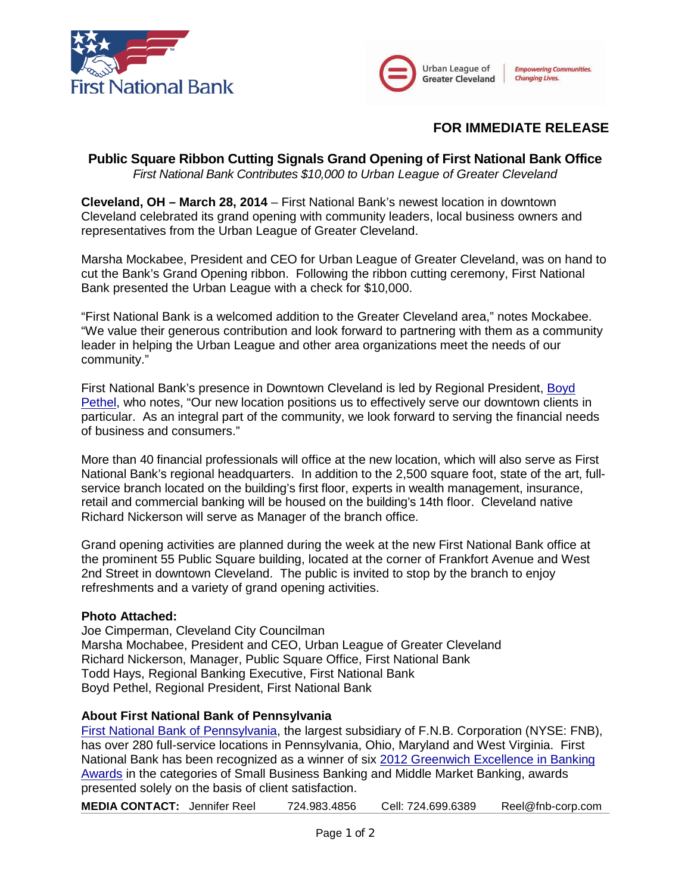



## **FOR IMMEDIATE RELEASE**

# **Public Square Ribbon Cutting Signals Grand Opening of First National Bank Office**

*First National Bank Contributes \$10,000 to Urban League of Greater Cleveland*

**Cleveland, OH – March 28, 2014** – First National Bank's newest location in downtown Cleveland celebrated its grand opening with community leaders, local business owners and representatives from the Urban League of Greater Cleveland.

Marsha Mockabee, President and CEO for Urban League of Greater Cleveland, was on hand to cut the Bank's Grand Opening ribbon. Following the ribbon cutting ceremony, First National Bank presented the Urban League with a check for \$10,000.

"First National Bank is a welcomed addition to the Greater Cleveland area," notes Mockabee. "We value their generous contribution and look forward to partnering with them as a community leader in helping the Urban League and other area organizations meet the needs of our community."

First National Bank's presence in Downtown Cleveland is led by Regional President, [Boyd](https://www.fnb-online.com/News/2013/September/September172013.aspx)  [Pethel,](https://www.fnb-online.com/News/2013/September/September172013.aspx) who notes, "Our new location positions us to effectively serve our downtown clients in particular. As an integral part of the community, we look forward to serving the financial needs of business and consumers."

More than 40 financial professionals will office at the new location, which will also serve as First National Bank's regional headquarters. In addition to the 2,500 square foot, state of the art, fullservice branch located on the building's first floor, experts in wealth management, insurance, retail and commercial banking will be housed on the building's 14th floor. Cleveland native Richard Nickerson will serve as Manager of the branch office.

Grand opening activities are planned during the week at the new First National Bank office at the prominent 55 Public Square building, located at the corner of Frankfort Avenue and West 2nd Street in downtown Cleveland. The public is invited to stop by the branch to enjoy refreshments and a variety of grand opening activities.

#### **Photo Attached:**

Joe Cimperman, Cleveland City Councilman Marsha Mochabee, President and CEO, Urban League of Greater Cleveland Richard Nickerson, Manager, Public Square Office, First National Bank Todd Hays, Regional Banking Executive, First National Bank Boyd Pethel, Regional President, First National Bank

#### **About First National Bank of Pennsylvania**

[First National Bank of Pennsylvania,](https://www.fnb-online.com/) the largest subsidiary of F.N.B. Corporation (NYSE: FNB), has over 280 full-service locations in Pennsylvania, Ohio, Maryland and West Virginia. First National Bank has been recognized as a winner of six [2012 Greenwich Excellence in Banking](https://www.fnb-online.com/News/2013/February/February212013.aspx)  [Awards](https://www.fnb-online.com/News/2013/February/February212013.aspx) in the categories of Small Business Banking and Middle Market Banking, awards presented solely on the basis of client satisfaction.

**MEDIA CONTACT:** Jennifer Reel 724.983.4856 Cell: 724.699.6389 Reel@fnb-corp.com